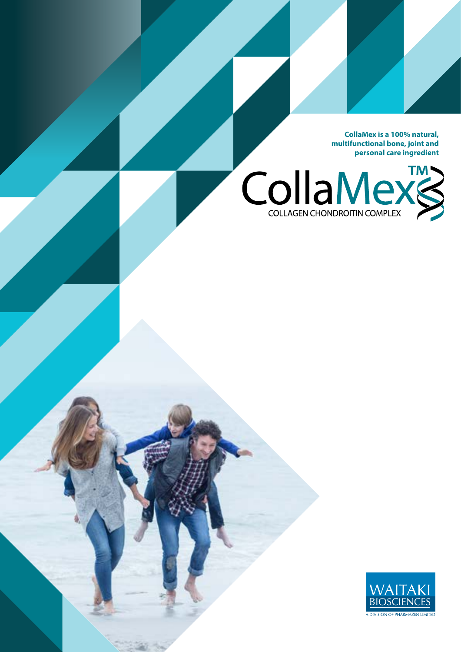**CollaMex is a 100% natural, multifunctional bone, joint and personal care ingredient**



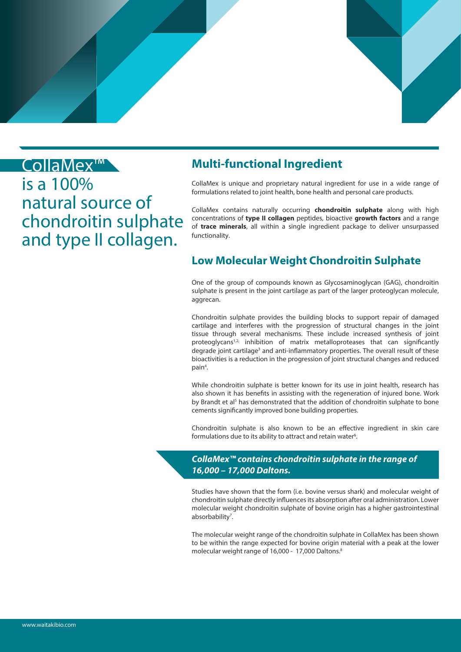

## CollaMex™

is a 100% natural source of chondroitin sulphate and type II collagen.

## **Multi-functional Ingredient**

CollaMex is unique and proprietary natural ingredient for use in a wide range of formulations related to joint health, bone health and personal care products.

CollaMex contains naturally occurring **chondroitin sulphate** along with high concentrations of **type II collagen** peptides, bioactive **growth factors** and a range of **trace minerals**, all within a single ingredient package to deliver unsurpassed functionality.

## **Low Molecular Weight Chondroitin Sulphate**

One of the group of compounds known as Glycosaminoglycan (GAG), chondroitin sulphate is present in the joint cartilage as part of the larger proteoglycan molecule, aggrecan.

Chondroitin sulphate provides the building blocks to support repair of damaged cartilage and interferes with the progression of structural changes in the joint tissue through several mechanisms. These include increased synthesis of joint proteoglycans<sup>1,2,</sup> inhibition of matrix metalloproteases that can significantly degrade joint cartilage<sup>3</sup> and anti-inflammatory properties. The overall result of these bioactivities is a reduction in the progression of joint structural changes and reduced pain<sup>4</sup>.

While chondroitin sulphate is better known for its use in joint health, research has also shown it has benefits in assisting with the regeneration of injured bone. Work by Brandt et al<sup>5</sup> has demonstrated that the addition of chondroitin sulphate to bone cements significantly improved bone building properties.

Chondroitin sulphate is also known to be an effective ingredient in skin care formulations due to its ability to attract and retain water<sup>6</sup>.

#### *CollaMex™ contains chondroitin sulphate in the range of 16,000 – 17,000 Daltons.*

Studies have shown that the form (i.e. bovine versus shark) and molecular weight of chondroitin sulphate directly influences its absorption after oral administration. Lower molecular weight chondroitin sulphate of bovine origin has a higher gastrointestinal absorbability<sup>7</sup>.

The molecular weight range of the chondroitin sulphate in CollaMex has been shown to be within the range expected for bovine origin material with a peak at the lower molecular weight range of 16,000 - 17,000 Daltons.<sup>8</sup>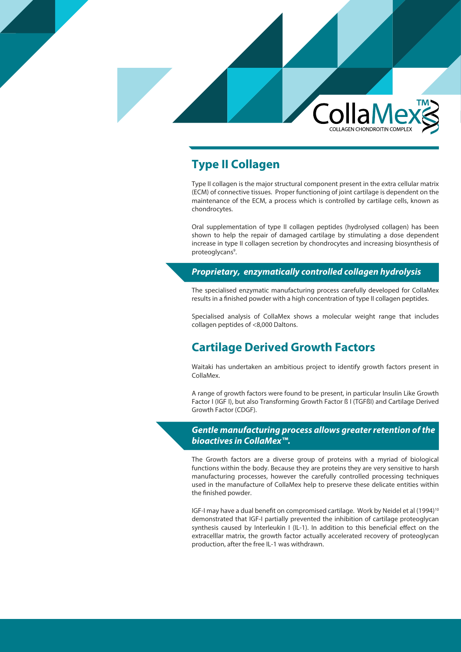

## **Type II Collagen**

Type II collagen is the major structural component present in the extra cellular matrix (ECM) of connective tissues. Proper functioning of joint cartilage is dependent on the maintenance of the ECM, a process which is controlled by cartilage cells, known as chondrocytes.

Oral supplementation of type II collagen peptides (hydrolysed collagen) has been shown to help the repair of damaged cartilage by stimulating a dose dependent increase in type II collagen secretion by chondrocytes and increasing biosynthesis of proteoglycans<sup>9</sup>.

#### *Proprietary, enzymatically controlled collagen hydrolysis*

The specialised enzymatic manufacturing process carefully developed for CollaMex results in a finished powder with a high concentration of type II collagen peptides.

Specialised analysis of CollaMex shows a molecular weight range that includes collagen peptides of <8,000 Daltons.

## **Cartilage Derived Growth Factors**

Waitaki has undertaken an ambitious project to identify growth factors present in CollaMex.

A range of growth factors were found to be present, in particular Insulin Like Growth Factor I (IGF I), but also Transforming Growth Factor ß I (TGFßI) and Cartilage Derived Growth Factor (CDGF).

#### *Gentle manufacturing process allows greater retention of the bioactives in CollaMex™.*

The Growth factors are a diverse group of proteins with a myriad of biological functions within the body. Because they are proteins they are very sensitive to harsh manufacturing processes, however the carefully controlled processing techniques used in the manufacture of CollaMex help to preserve these delicate entities within the finished powder.

IGF-I may have a dual benefit on compromised cartilage. Work by Neidel et al (1994)<sup>10</sup> demonstrated that IGF-I partially prevented the inhibition of cartilage proteoglycan synthesis caused by Interleukin I (IL-1). In addition to this beneficial effect on the extracelllar matrix, the growth factor actually accelerated recovery of proteoglycan production, after the free IL-1 was withdrawn.